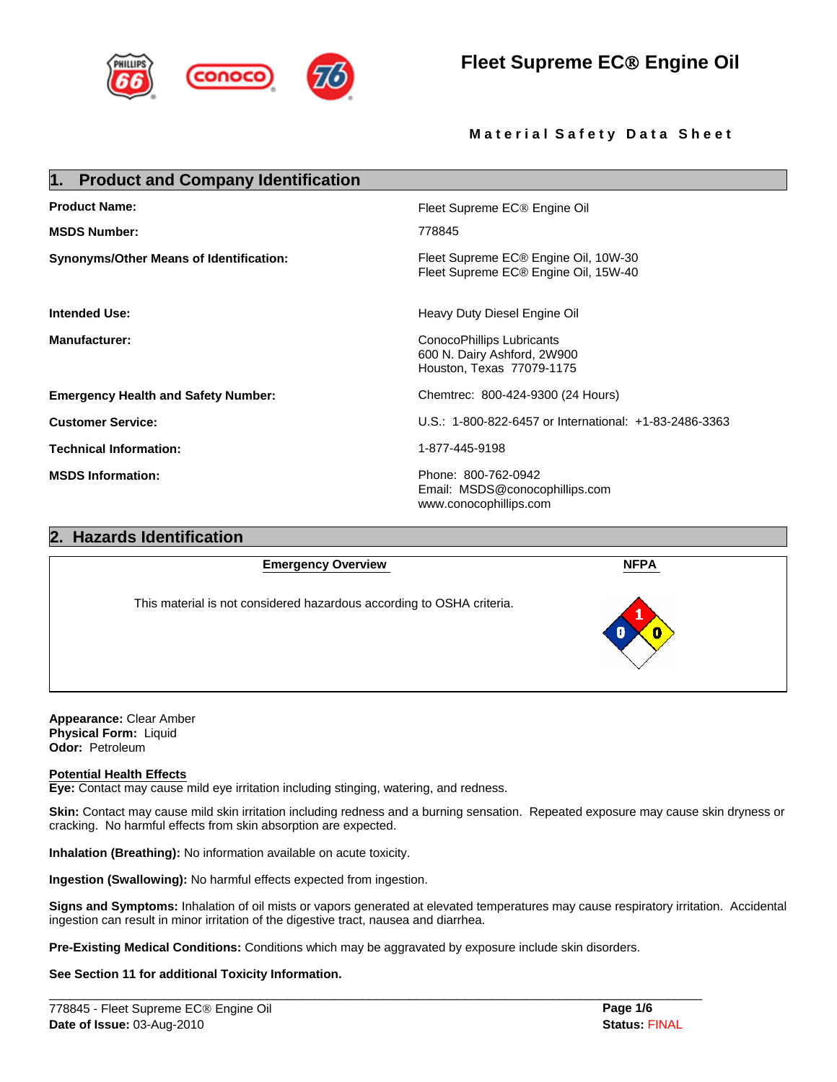

# **Fleet Supreme EC**® **Engine Oil**

# **Material Safety Data Sheet**

| 1. Product and Company Identification      |                                                                                       |  |
|--------------------------------------------|---------------------------------------------------------------------------------------|--|
| <b>Product Name:</b>                       | Fleet Supreme EC <sup>®</sup> Engine Oil                                              |  |
| <b>MSDS Number:</b>                        | 778845                                                                                |  |
| Synonyms/Other Means of Identification:    | Fleet Supreme EC® Engine Oil, 10W-30<br>Fleet Supreme EC® Engine Oil, 15W-40          |  |
| <b>Intended Use:</b>                       | Heavy Duty Diesel Engine Oil                                                          |  |
| <b>Manufacturer:</b>                       | ConocoPhillips Lubricants<br>600 N. Dairy Ashford, 2W900<br>Houston, Texas 77079-1175 |  |
| <b>Emergency Health and Safety Number:</b> | Chemtrec: 800-424-9300 (24 Hours)                                                     |  |
| <b>Customer Service:</b>                   | U.S.: 1-800-822-6457 or International: +1-83-2486-3363                                |  |
| <b>Technical Information:</b>              | 1-877-445-9198                                                                        |  |
| <b>MSDS Information:</b>                   | Phone: 800-762-0942<br>Email: MSDS@conocophillips.com<br>www.conocophillips.com       |  |

# **2. Hazards Identification NFPA Emergency Overview**  This material is not considered hazardous according to OSHA criteria.

**Appearance:** Clear Amber **Physical Form:** Liquid **Odor:** Petroleum

## **Potential Health Effects**

**Eye:** Contact may cause mild eye irritation including stinging, watering, and redness.

**Skin:** Contact may cause mild skin irritation including redness and a burning sensation. Repeated exposure may cause skin dryness or cracking. No harmful effects from skin absorption are expected.

**Inhalation (Breathing):** No information available on acute toxicity.

**Ingestion (Swallowing):** No harmful effects expected from ingestion.

**Signs and Symptoms:** Inhalation of oil mists or vapors generated at elevated temperatures may cause respiratory irritation. Accidental ingestion can result in minor irritation of the digestive tract, nausea and diarrhea.

**Pre-Existing Medical Conditions:** Conditions which may be aggravated by exposure include skin disorders.

 $\mathcal{L}_\mathcal{L} = \{ \mathcal{L}_\mathcal{L} = \{ \mathcal{L}_\mathcal{L} = \{ \mathcal{L}_\mathcal{L} = \{ \mathcal{L}_\mathcal{L} = \{ \mathcal{L}_\mathcal{L} = \{ \mathcal{L}_\mathcal{L} = \{ \mathcal{L}_\mathcal{L} = \{ \mathcal{L}_\mathcal{L} = \{ \mathcal{L}_\mathcal{L} = \{ \mathcal{L}_\mathcal{L} = \{ \mathcal{L}_\mathcal{L} = \{ \mathcal{L}_\mathcal{L} = \{ \mathcal{L}_\mathcal{L} = \{ \mathcal{L}_\mathcal{$ 

## **See Section 11 for additional Toxicity Information.**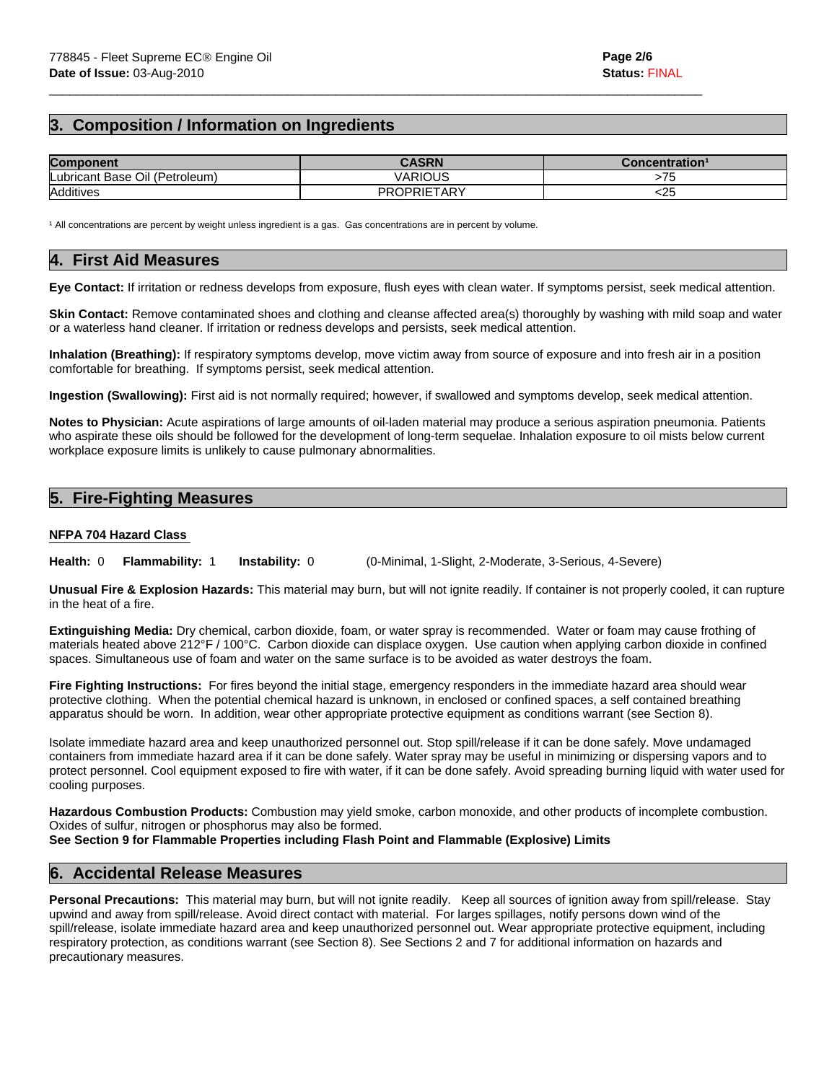# **3. Composition / Information on Ingredients**

| <b>Component</b>               | <b>CASRN</b>       | Concentration <sup>1</sup> |
|--------------------------------|--------------------|----------------------------|
| Lubricant Base Oil (Petroleum) | VARIOUS            |                            |
| Additives                      | <b>PROPRIETARY</b> | or.<br>ເ∠ັ                 |

 $\mathcal{L}_\mathcal{L} = \{ \mathcal{L}_\mathcal{L} = \{ \mathcal{L}_\mathcal{L} = \{ \mathcal{L}_\mathcal{L} = \{ \mathcal{L}_\mathcal{L} = \{ \mathcal{L}_\mathcal{L} = \{ \mathcal{L}_\mathcal{L} = \{ \mathcal{L}_\mathcal{L} = \{ \mathcal{L}_\mathcal{L} = \{ \mathcal{L}_\mathcal{L} = \{ \mathcal{L}_\mathcal{L} = \{ \mathcal{L}_\mathcal{L} = \{ \mathcal{L}_\mathcal{L} = \{ \mathcal{L}_\mathcal{L} = \{ \mathcal{L}_\mathcal{$ 

<sup>1</sup> All concentrations are percent by weight unless ingredient is a gas. Gas concentrations are in percent by volume.

## **4. First Aid Measures**

**Eye Contact:** If irritation or redness develops from exposure, flush eyes with clean water. If symptoms persist, seek medical attention.

**Skin Contact:** Remove contaminated shoes and clothing and cleanse affected area(s) thoroughly by washing with mild soap and water or a waterless hand cleaner. If irritation or redness develops and persists, seek medical attention.

**Inhalation (Breathing):** If respiratory symptoms develop, move victim away from source of exposure and into fresh air in a position comfortable for breathing. If symptoms persist, seek medical attention.

**Ingestion (Swallowing):** First aid is not normally required; however, if swallowed and symptoms develop, seek medical attention.

**Notes to Physician:** Acute aspirations of large amounts of oil-laden material may produce a serious aspiration pneumonia. Patients who aspirate these oils should be followed for the development of long-term sequelae. Inhalation exposure to oil mists below current workplace exposure limits is unlikely to cause pulmonary abnormalities.

# **5. Fire-Fighting Measures**

## **NFPA 704 Hazard Class**

**Instability:** 0 (0-Minimal, 1-Slight, 2-Moderate, 3-Serious, 4-Severe) **Health: 0 Flammability: 1** 

**Unusual Fire & Explosion Hazards:** This material may burn, but will not ignite readily. If container is not properly cooled, it can rupture in the heat of a fire.

**Extinguishing Media:** Dry chemical, carbon dioxide, foam, or water spray is recommended. Water or foam may cause frothing of materials heated above 212°F / 100°C. Carbon dioxide can displace oxygen. Use caution when applying carbon dioxide in confined spaces. Simultaneous use of foam and water on the same surface is to be avoided as water destroys the foam.

**Fire Fighting Instructions:** For fires beyond the initial stage, emergency responders in the immediate hazard area should wear protective clothing. When the potential chemical hazard is unknown, in enclosed or confined spaces, a self contained breathing apparatus should be worn. In addition, wear other appropriate protective equipment as conditions warrant (see Section 8).

Isolate immediate hazard area and keep unauthorized personnel out. Stop spill/release if it can be done safely. Move undamaged containers from immediate hazard area if it can be done safely. Water spray may be useful in minimizing or dispersing vapors and to protect personnel. Cool equipment exposed to fire with water, if it can be done safely. Avoid spreading burning liquid with water used for cooling purposes.

**Hazardous Combustion Products:** Combustion may yield smoke, carbon monoxide, and other products of incomplete combustion. Oxides of sulfur, nitrogen or phosphorus may also be formed.

**See Section 9 for Flammable Properties including Flash Point and Flammable (Explosive) Limits** 

# **6. Accidental Release Measures**

**Personal Precautions:** This material may burn, but will not ignite readily. Keep all sources of ignition away from spill/release. Stay upwind and away from spill/release. Avoid direct contact with material. For larges spillages, notify persons down wind of the spill/release, isolate immediate hazard area and keep unauthorized personnel out. Wear appropriate protective equipment, including respiratory protection, as conditions warrant (see Section 8). See Sections 2 and 7 for additional information on hazards and precautionary measures.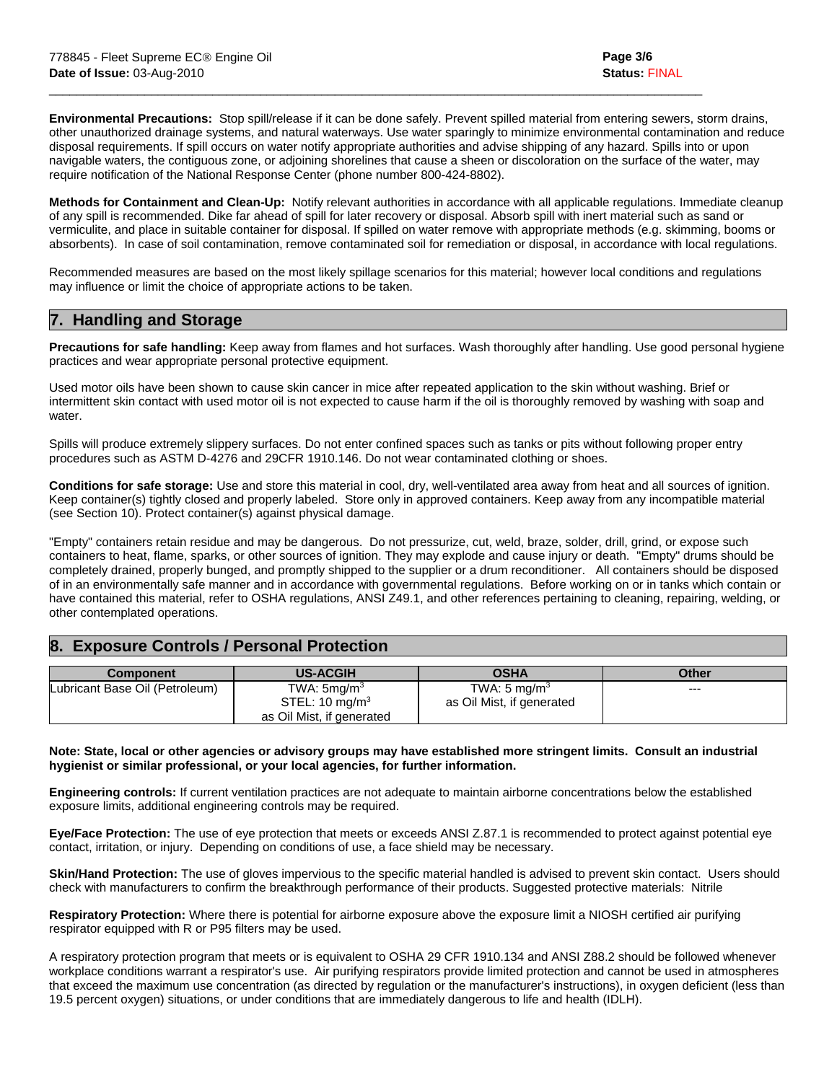**Environmental Precautions:** Stop spill/release if it can be done safely. Prevent spilled material from entering sewers, storm drains, other unauthorized drainage systems, and natural waterways. Use water sparingly to minimize environmental contamination and reduce disposal requirements. If spill occurs on water notify appropriate authorities and advise shipping of any hazard. Spills into or upon navigable waters, the contiguous zone, or adjoining shorelines that cause a sheen or discoloration on the surface of the water, may require notification of the National Response Center (phone number 800-424-8802).

 $\mathcal{L}_\mathcal{L} = \{ \mathcal{L}_\mathcal{L} = \{ \mathcal{L}_\mathcal{L} = \{ \mathcal{L}_\mathcal{L} = \{ \mathcal{L}_\mathcal{L} = \{ \mathcal{L}_\mathcal{L} = \{ \mathcal{L}_\mathcal{L} = \{ \mathcal{L}_\mathcal{L} = \{ \mathcal{L}_\mathcal{L} = \{ \mathcal{L}_\mathcal{L} = \{ \mathcal{L}_\mathcal{L} = \{ \mathcal{L}_\mathcal{L} = \{ \mathcal{L}_\mathcal{L} = \{ \mathcal{L}_\mathcal{L} = \{ \mathcal{L}_\mathcal{$ 

**Methods for Containment and Clean-Up:** Notify relevant authorities in accordance with all applicable regulations. Immediate cleanup of any spill is recommended. Dike far ahead of spill for later recovery or disposal. Absorb spill with inert material such as sand or vermiculite, and place in suitable container for disposal. If spilled on water remove with appropriate methods (e.g. skimming, booms or absorbents). In case of soil contamination, remove contaminated soil for remediation or disposal, in accordance with local regulations.

Recommended measures are based on the most likely spillage scenarios for this material; however local conditions and regulations may influence or limit the choice of appropriate actions to be taken.

# **7. Handling and Storage**

**Precautions for safe handling:** Keep away from flames and hot surfaces. Wash thoroughly after handling. Use good personal hygiene practices and wear appropriate personal protective equipment.

Used motor oils have been shown to cause skin cancer in mice after repeated application to the skin without washing. Brief or intermittent skin contact with used motor oil is not expected to cause harm if the oil is thoroughly removed by washing with soap and water.

Spills will produce extremely slippery surfaces. Do not enter confined spaces such as tanks or pits without following proper entry procedures such as ASTM D-4276 and 29CFR 1910.146. Do not wear contaminated clothing or shoes.

**Conditions for safe storage:** Use and store this material in cool, dry, well-ventilated area away from heat and all sources of ignition. Keep container(s) tightly closed and properly labeled. Store only in approved containers. Keep away from any incompatible material (see Section 10). Protect container(s) against physical damage.

"Empty" containers retain residue and may be dangerous. Do not pressurize, cut, weld, braze, solder, drill, grind, or expose such containers to heat, flame, sparks, or other sources of ignition. They may explode and cause injury or death. "Empty" drums should be completely drained, properly bunged, and promptly shipped to the supplier or a drum reconditioner. All containers should be disposed of in an environmentally safe manner and in accordance with governmental regulations. Before working on or in tanks which contain or have contained this material, refer to OSHA regulations, ANSI Z49.1, and other references pertaining to cleaning, repairing, welding, or other contemplated operations.

# **8. Exposure Controls / Personal Protection**

| <b>Component</b>               | <b>US-ACGIH</b>                                                          | <b>OSHA</b>                                          | <b>Other</b> |
|--------------------------------|--------------------------------------------------------------------------|------------------------------------------------------|--------------|
| Lubricant Base Oil (Petroleum) | TWA: $5 \text{mq/m}^3$<br>STEL: 10 mg/m $3$<br>as Oil Mist, if generated | TWA: $5 \text{ mg/m}^3$<br>as Oil Mist, if generated | ---          |

## **Note: State, local or other agencies or advisory groups may have established more stringent limits. Consult an industrial hygienist or similar professional, or your local agencies, for further information.**

**Engineering controls:** If current ventilation practices are not adequate to maintain airborne concentrations below the established exposure limits, additional engineering controls may be required.

**Eye/Face Protection:** The use of eye protection that meets or exceeds ANSI Z.87.1 is recommended to protect against potential eye contact, irritation, or injury. Depending on conditions of use, a face shield may be necessary.

**Skin/Hand Protection:** The use of gloves impervious to the specific material handled is advised to prevent skin contact. Users should check with manufacturers to confirm the breakthrough performance of their products. Suggested protective materials: Nitrile

**Respiratory Protection:** Where there is potential for airborne exposure above the exposure limit a NIOSH certified air purifying respirator equipped with R or P95 filters may be used.

A respiratory protection program that meets or is equivalent to OSHA 29 CFR 1910.134 and ANSI Z88.2 should be followed whenever workplace conditions warrant a respirator's use. Air purifying respirators provide limited protection and cannot be used in atmospheres that exceed the maximum use concentration (as directed by regulation or the manufacturer's instructions), in oxygen deficient (less than 19.5 percent oxygen) situations, or under conditions that are immediately dangerous to life and health (IDLH).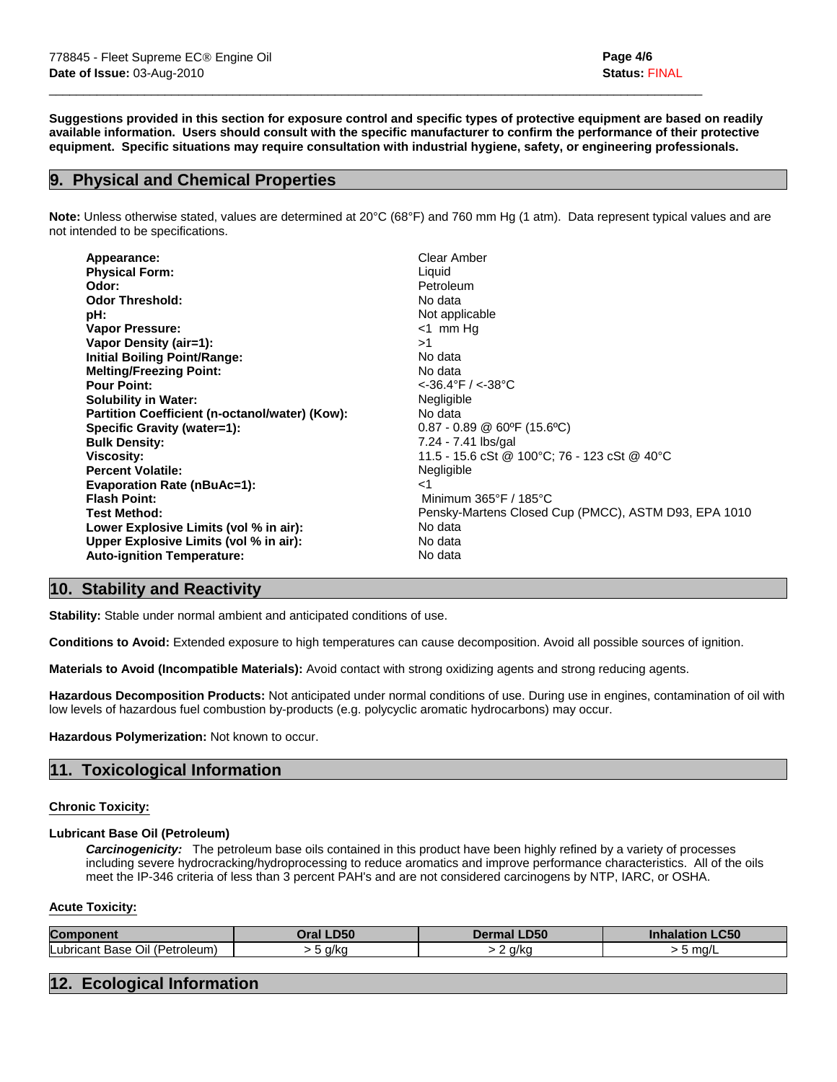**Suggestions provided in this section for exposure control and specific types of protective equipment are based on readily available information. Users should consult with the specific manufacturer to confirm the performance of their protective equipment. Specific situations may require consultation with industrial hygiene, safety, or engineering professionals.** 

 $\mathcal{L}_\mathcal{L} = \{ \mathcal{L}_\mathcal{L} = \{ \mathcal{L}_\mathcal{L} = \{ \mathcal{L}_\mathcal{L} = \{ \mathcal{L}_\mathcal{L} = \{ \mathcal{L}_\mathcal{L} = \{ \mathcal{L}_\mathcal{L} = \{ \mathcal{L}_\mathcal{L} = \{ \mathcal{L}_\mathcal{L} = \{ \mathcal{L}_\mathcal{L} = \{ \mathcal{L}_\mathcal{L} = \{ \mathcal{L}_\mathcal{L} = \{ \mathcal{L}_\mathcal{L} = \{ \mathcal{L}_\mathcal{L} = \{ \mathcal{L}_\mathcal{$ 

# **9. Physical and Chemical Properties**

**Note:** Unless otherwise stated, values are determined at 20°C (68°F) and 760 mm Hg (1 atm). Data represent typical values and are not intended to be specifications.

| <b>Physical Form:</b><br>Liquid<br>Odor:<br>Petroleum<br><b>Odor Threshold:</b><br>No data<br>Not applicable<br>pH:<br><b>Vapor Pressure:</b><br>$<$ 1 mm Hg<br>Vapor Density (air=1):<br>>1<br><b>Initial Boiling Point/Range:</b><br>No data<br><b>Melting/Freezing Point:</b><br>No data<br>$<$ -36.4°F / $<$ -38°C<br><b>Pour Point:</b><br>Negligible<br><b>Solubility in Water:</b><br>Partition Coefficient (n-octanol/water) (Kow):<br>No data<br>$0.87 - 0.89$ @ 60°F (15.6°C)<br>Specific Gravity (water=1):<br>7.24 - 7.41 lbs/gal<br><b>Bulk Density:</b><br>11.5 - 15.6 cSt @ 100°C; 76 - 123 cSt @ 40°C<br>Viscosity:<br><b>Percent Volatile:</b><br>Negligible<br><b>Evaporation Rate (nBuAc=1):</b><br>ا><br><b>Flash Point:</b><br>Minimum 365°F / 185°C<br>Test Method:<br>No data<br>Lower Explosive Limits (vol % in air):<br>Upper Explosive Limits (vol % in air):<br>No data<br><b>Auto-ignition Temperature:</b><br>No data | Appearance: | Clear Amber                                          |
|-----------------------------------------------------------------------------------------------------------------------------------------------------------------------------------------------------------------------------------------------------------------------------------------------------------------------------------------------------------------------------------------------------------------------------------------------------------------------------------------------------------------------------------------------------------------------------------------------------------------------------------------------------------------------------------------------------------------------------------------------------------------------------------------------------------------------------------------------------------------------------------------------------------------------------------------------------|-------------|------------------------------------------------------|
|                                                                                                                                                                                                                                                                                                                                                                                                                                                                                                                                                                                                                                                                                                                                                                                                                                                                                                                                                     |             |                                                      |
|                                                                                                                                                                                                                                                                                                                                                                                                                                                                                                                                                                                                                                                                                                                                                                                                                                                                                                                                                     |             |                                                      |
|                                                                                                                                                                                                                                                                                                                                                                                                                                                                                                                                                                                                                                                                                                                                                                                                                                                                                                                                                     |             |                                                      |
|                                                                                                                                                                                                                                                                                                                                                                                                                                                                                                                                                                                                                                                                                                                                                                                                                                                                                                                                                     |             |                                                      |
|                                                                                                                                                                                                                                                                                                                                                                                                                                                                                                                                                                                                                                                                                                                                                                                                                                                                                                                                                     |             |                                                      |
|                                                                                                                                                                                                                                                                                                                                                                                                                                                                                                                                                                                                                                                                                                                                                                                                                                                                                                                                                     |             |                                                      |
|                                                                                                                                                                                                                                                                                                                                                                                                                                                                                                                                                                                                                                                                                                                                                                                                                                                                                                                                                     |             |                                                      |
|                                                                                                                                                                                                                                                                                                                                                                                                                                                                                                                                                                                                                                                                                                                                                                                                                                                                                                                                                     |             |                                                      |
|                                                                                                                                                                                                                                                                                                                                                                                                                                                                                                                                                                                                                                                                                                                                                                                                                                                                                                                                                     |             |                                                      |
|                                                                                                                                                                                                                                                                                                                                                                                                                                                                                                                                                                                                                                                                                                                                                                                                                                                                                                                                                     |             |                                                      |
|                                                                                                                                                                                                                                                                                                                                                                                                                                                                                                                                                                                                                                                                                                                                                                                                                                                                                                                                                     |             |                                                      |
|                                                                                                                                                                                                                                                                                                                                                                                                                                                                                                                                                                                                                                                                                                                                                                                                                                                                                                                                                     |             |                                                      |
|                                                                                                                                                                                                                                                                                                                                                                                                                                                                                                                                                                                                                                                                                                                                                                                                                                                                                                                                                     |             |                                                      |
|                                                                                                                                                                                                                                                                                                                                                                                                                                                                                                                                                                                                                                                                                                                                                                                                                                                                                                                                                     |             |                                                      |
|                                                                                                                                                                                                                                                                                                                                                                                                                                                                                                                                                                                                                                                                                                                                                                                                                                                                                                                                                     |             |                                                      |
|                                                                                                                                                                                                                                                                                                                                                                                                                                                                                                                                                                                                                                                                                                                                                                                                                                                                                                                                                     |             |                                                      |
|                                                                                                                                                                                                                                                                                                                                                                                                                                                                                                                                                                                                                                                                                                                                                                                                                                                                                                                                                     |             |                                                      |
|                                                                                                                                                                                                                                                                                                                                                                                                                                                                                                                                                                                                                                                                                                                                                                                                                                                                                                                                                     |             | Pensky-Martens Closed Cup (PMCC), ASTM D93, EPA 1010 |
|                                                                                                                                                                                                                                                                                                                                                                                                                                                                                                                                                                                                                                                                                                                                                                                                                                                                                                                                                     |             |                                                      |
|                                                                                                                                                                                                                                                                                                                                                                                                                                                                                                                                                                                                                                                                                                                                                                                                                                                                                                                                                     |             |                                                      |
|                                                                                                                                                                                                                                                                                                                                                                                                                                                                                                                                                                                                                                                                                                                                                                                                                                                                                                                                                     |             |                                                      |

# **10. Stability and Reactivity**

**Stability:** Stable under normal ambient and anticipated conditions of use.

**Conditions to Avoid:** Extended exposure to high temperatures can cause decomposition. Avoid all possible sources of ignition.

**Materials to Avoid (Incompatible Materials):** Avoid contact with strong oxidizing agents and strong reducing agents.

**Hazardous Decomposition Products:** Not anticipated under normal conditions of use. During use in engines, contamination of oil with low levels of hazardous fuel combustion by-products (e.g. polycyclic aromatic hydrocarbons) may occur.

**Hazardous Polymerization:** Not known to occur.

# **11. Toxicological Information**

## **Chronic Toxicity:**

## **Lubricant Base Oil (Petroleum)**

 *Carcinogenicity:* The petroleum base oils contained in this product have been highly refined by a variety of processes including severe hydrocracking/hydroprocessing to reduce aromatics and improve performance characteristics. All of the oils meet the IP-346 criteria of less than 3 percent PAH's and are not considered carcinogens by NTP, IARC, or OSHA.

## **Acute Toxicity:**

| Con                                                          | nro<br><b>Drai</b>          | P<br>.ມວບ     | C50         |
|--------------------------------------------------------------|-----------------------------|---------------|-------------|
| $\sim$<br>Lubrio<br>′ اال<br>, (Petrole) ،<br>$\sim$<br>. הר | $\alpha$ / $\alpha$<br>40.5 | ممارد<br>" N. | $\sim$<br>. |

# **12. Ecological Information**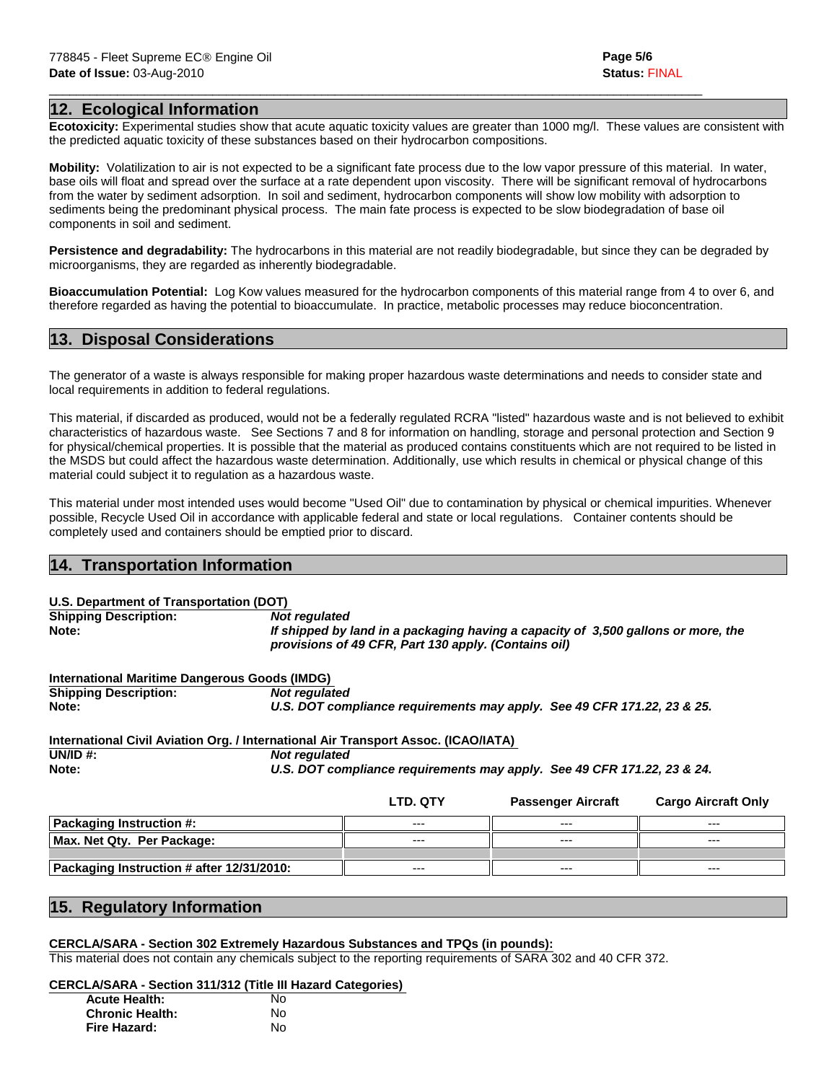# **12. Ecological Information**

**Ecotoxicity:** Experimental studies show that acute aquatic toxicity values are greater than 1000 mg/l. These values are consistent with the predicted aquatic toxicity of these substances based on their hydrocarbon compositions.

 $\mathcal{L}_\mathcal{L} = \{ \mathcal{L}_\mathcal{L} = \{ \mathcal{L}_\mathcal{L} = \{ \mathcal{L}_\mathcal{L} = \{ \mathcal{L}_\mathcal{L} = \{ \mathcal{L}_\mathcal{L} = \{ \mathcal{L}_\mathcal{L} = \{ \mathcal{L}_\mathcal{L} = \{ \mathcal{L}_\mathcal{L} = \{ \mathcal{L}_\mathcal{L} = \{ \mathcal{L}_\mathcal{L} = \{ \mathcal{L}_\mathcal{L} = \{ \mathcal{L}_\mathcal{L} = \{ \mathcal{L}_\mathcal{L} = \{ \mathcal{L}_\mathcal{$ 

**Mobility:** Volatilization to air is not expected to be a significant fate process due to the low vapor pressure of this material. In water, base oils will float and spread over the surface at a rate dependent upon viscosity. There will be significant removal of hydrocarbons from the water by sediment adsorption. In soil and sediment, hydrocarbon components will show low mobility with adsorption to sediments being the predominant physical process. The main fate process is expected to be slow biodegradation of base oil components in soil and sediment.

**Persistence and degradability:** The hydrocarbons in this material are not readily biodegradable, but since they can be degraded by microorganisms, they are regarded as inherently biodegradable.

**Bioaccumulation Potential:** Log Kow values measured for the hydrocarbon components of this material range from 4 to over 6, and therefore regarded as having the potential to bioaccumulate. In practice, metabolic processes may reduce bioconcentration.

# **13. Disposal Considerations**

The generator of a waste is always responsible for making proper hazardous waste determinations and needs to consider state and local requirements in addition to federal regulations.

This material, if discarded as produced, would not be a federally regulated RCRA "listed" hazardous waste and is not believed to exhibit characteristics of hazardous waste. See Sections 7 and 8 for information on handling, storage and personal protection and Section 9 for physical/chemical properties. It is possible that the material as produced contains constituents which are not required to be listed in the MSDS but could affect the hazardous waste determination. Additionally, use which results in chemical or physical change of this material could subject it to regulation as a hazardous waste.

This material under most intended uses would become "Used Oil" due to contamination by physical or chemical impurities. Whenever possible, Recycle Used Oil in accordance with applicable federal and state or local regulations. Container contents should be completely used and containers should be emptied prior to discard.

# **14. Transportation Information**

## **U.S. Department of Transportation (DOT)**

**Shipping Description:** *Not regulated*  **Note:** *If shipped by land in a packaging having a capacity of 3,500 gallons or more, the provisions of 49 CFR, Part 130 apply. (Contains oil)*

**International Maritime Dangerous Goods (IMDG) Shipping Description:** *Not regulated*  **Note:** *U.S. DOT compliance requirements may apply. See 49 CFR 171.22, 23 & 25.* 

|          | International Civil Aviation Org. / International Air Transport Assoc. (ICAO/IATA) |
|----------|------------------------------------------------------------------------------------|
| UN/ID #: | <b>Not regulated</b>                                                               |
| Note:    | U.S. DOT compliance requirements may apply. See 49 CFR 171.22, 23 & 24.            |

|                                           | <b>LTD. QTY</b> | <b>Passenger Aircraft</b> | <b>Cargo Aircraft Only</b> |
|-------------------------------------------|-----------------|---------------------------|----------------------------|
| <b>Packaging Instruction #:</b>           | ---             | $--$                      | ---                        |
| Max. Net Qty. Per Package:                | $---$           | $---$                     | $---$                      |
|                                           |                 |                           |                            |
| Packaging Instruction # after 12/31/2010: | $---$           | $---$                     | $---$                      |
|                                           |                 |                           |                            |

# **15. Regulatory Information**

## **CERCLA/SARA - Section 302 Extremely Hazardous Substances and TPQs (in pounds):**

This material does not contain any chemicals subject to the reporting requirements of SARA 302 and 40 CFR 372.

## **CERCLA/SARA - Section 311/312 (Title III Hazard Categories)**

| <b>Acute Health:</b>   | No |
|------------------------|----|
| <b>Chronic Health:</b> | No |
| Fire Hazard:           | N٥ |